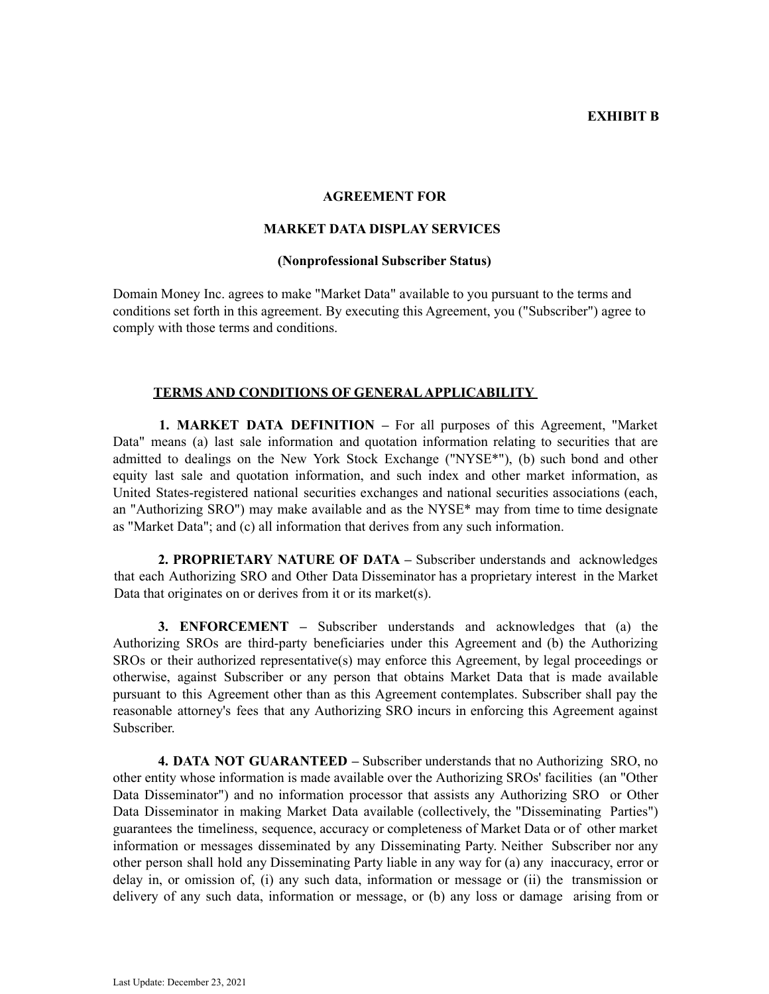### **EXHIBIT B**

### **AGREEMENT FOR**

# **MARKET DATA DISPLAY SERVICES**

#### **(Nonprofessional Subscriber Status)**

Domain Money Inc. agrees to make "Market Data" available to you pursuant to the terms and conditions set forth in this agreement. By executing this Agreement, you ("Subscriber") agree to comply with those terms and conditions.

# **TERMS AND CONDITIONS OF GENERALAPPLICABILITY**

**1. MARKET DATA DEFINITION –** For all purposes of this Agreement, "Market Data" means (a) last sale information and quotation information relating to securities that are admitted to dealings on the New York Stock Exchange ("NYSE\*"), (b) such bond and other equity last sale and quotation information, and such index and other market information, as United States-registered national securities exchanges and national securities associations (each, an "Authorizing SRO") may make available and as the NYSE\* may from time to time designate as "Market Data"; and (c) all information that derives from any such information.

**2. PROPRIETARY NATURE OF DATA –** Subscriber understands and acknowledges that each Authorizing SRO and Other Data Disseminator has a proprietary interest in the Market Data that originates on or derives from it or its market(s).

**3. ENFORCEMENT –** Subscriber understands and acknowledges that (a) the Authorizing SROs are third-party beneficiaries under this Agreement and (b) the Authorizing SROs or their authorized representative(s) may enforce this Agreement, by legal proceedings or otherwise, against Subscriber or any person that obtains Market Data that is made available pursuant to this Agreement other than as this Agreement contemplates. Subscriber shall pay the reasonable attorney's fees that any Authorizing SRO incurs in enforcing this Agreement against Subscriber.

**4. DATA NOT GUARANTEED –** Subscriber understands that no Authorizing SRO, no other entity whose information is made available over the Authorizing SROs' facilities (an "Other Data Disseminator") and no information processor that assists any Authorizing SRO or Other Data Disseminator in making Market Data available (collectively, the "Disseminating Parties") guarantees the timeliness, sequence, accuracy or completeness of Market Data or of other market information or messages disseminated by any Disseminating Party. Neither Subscriber nor any other person shall hold any Disseminating Party liable in any way for (a) any inaccuracy, error or delay in, or omission of, (i) any such data, information or message or (ii) the transmission or delivery of any such data, information or message, or (b) any loss or damage arising from or